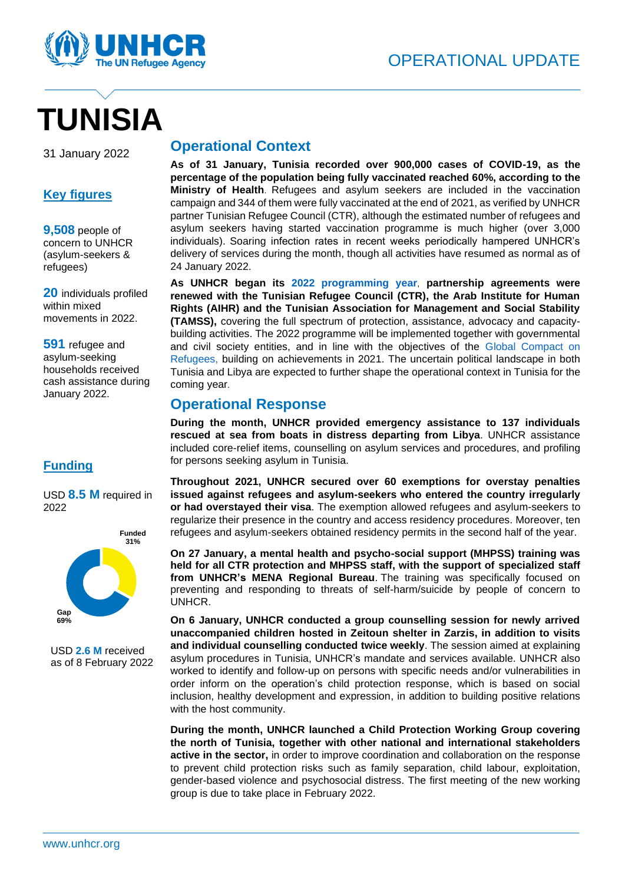

# **TUNISIA**

31 January 2022

#### **Key figures**

**9,508** people of concern to UNHCR (asylum-seekers & refugees)

**20** individuals profiled within mixed movements in 2022.

**591** refugee and asylum-seeking households received cash assistance during January 2022.

#### **Funding**

USD **8.5 M** required in 2022



USD **2.6 M** received as of 8 February 2022

### **Operational Context**

**As of 31 January, Tunisia recorded over 900,000 cases of COVID-19, as the percentage of the population being fully vaccinated reached 60%, according to the Ministry of Health**. Refugees and asylum seekers are included in the vaccination campaign and 344 of them were fully vaccinated at the end of 2021, as verified by UNHCR partner Tunisian Refugee Council (CTR), although the estimated number of refugees and asylum seekers having started vaccination programme is much higher (over 3,000 individuals). Soaring infection rates in recent weeks periodically hampered UNHCR's delivery of services during the month, though all activities have resumed as normal as of 24 January 2022.

**As UNHCR began its [2022 programming year](http://reporting.unhcr.org/tunisia)**, **partnership agreements were renewed with the Tunisian Refugee Council (CTR), the Arab Institute for Human Rights (AIHR) and the Tunisian Association for Management and Social Stability (TAMSS),** covering the full spectrum of protection, assistance, advocacy and capacitybuilding activities. The 2022 programme will be implemented together with governmental and civil society entities, and in line with the objectives of the [Global Compact on](https://www.unhcr.org/the-global-compact-on-refugees.html)  [Refugees,](https://www.unhcr.org/the-global-compact-on-refugees.html) building on achievements in 2021. The uncertain political landscape in both Tunisia and Libya are expected to further shape the operational context in Tunisia for the coming year.

## **Operational Response**

**During the month, UNHCR provided emergency assistance to 137 individuals rescued at sea from boats in distress departing from Libya**. UNHCR assistance included core-relief items, counselling on asylum services and procedures, and profiling for persons seeking asylum in Tunisia.

**Throughout 2021, UNHCR secured over 60 exemptions for overstay penalties issued against refugees and asylum-seekers who entered the country irregularly or had overstayed their visa**. The exemption allowed refugees and asylum-seekers to regularize their presence in the country and access residency procedures. Moreover, ten refugees and asylum-seekers obtained residency permits in the second half of the year.

**On 27 January, a mental health and psycho-social support (MHPSS) training was held for all CTR protection and MHPSS staff, with the support of specialized staff from UNHCR's MENA Regional Bureau**. The training was specifically focused on preventing and responding to threats of self-harm/suicide by people of concern to UNHCR.

**On 6 January, UNHCR conducted a group counselling session for newly arrived unaccompanied children hosted in Zeitoun shelter in Zarzis, in addition to visits and individual counselling conducted twice weekly**. The session aimed at explaining asylum procedures in Tunisia, UNHCR's mandate and services available. UNHCR also worked to identify and follow-up on persons with specific needs and/or vulnerabilities in order inform on the operation's child protection response, which is based on social inclusion, healthy development and expression, in addition to building positive relations with the host community.

**During the month, UNHCR launched a Child Protection Working Group covering the north of Tunisia, together with other national and international stakeholders active in the sector,** in order to improve coordination and collaboration on the response to prevent child protection risks such as family separation, child labour, exploitation, gender-based violence and psychosocial distress. The first meeting of the new working group is due to take place in February 2022.